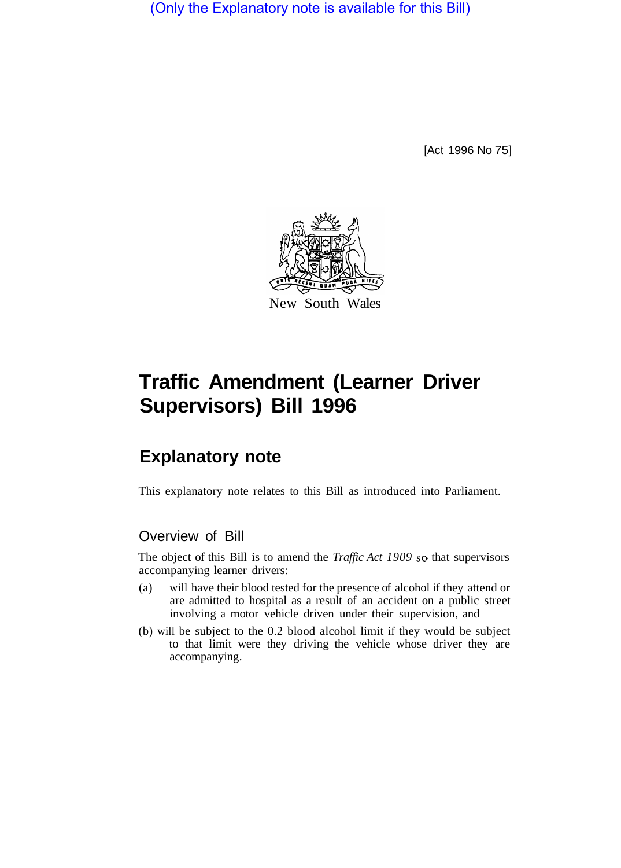(Only the Explanatory note is available for this Bill)

[Act 1996 No 75]



# **Traffic Amendment (Learner Driver Supervisors) Bill 1996**

## **Explanatory note**

This explanatory note relates to this Bill as introduced into Parliament.

### Overview of Bill

The object of this Bill is to amend the *Traffic Act 1909* so that supervisors accompanying learner drivers:

- (a) will have their blood tested for the presence of alcohol if they attend or are admitted to hospital as a result of an accident on a public street involving a motor vehicle driven under their supervision, and
- (b) will be subject to the 0.2 blood alcohol limit if they would be subject to that limit were they driving the vehicle whose driver they are accompanying.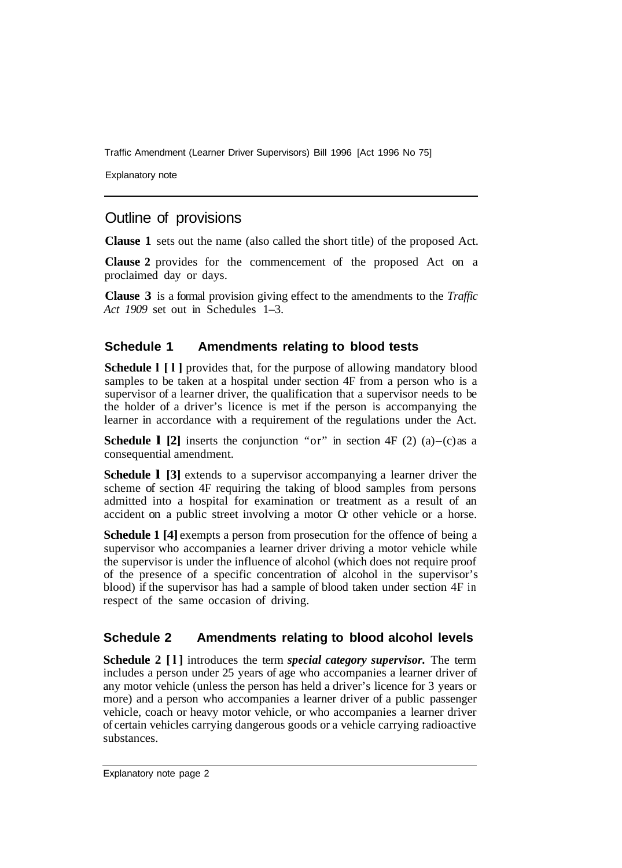Traffic Amendment (Learner Driver Supervisors) Bill 1996 [Act 1996 No 75]

Explanatory note

## Outline of provisions

**Clause 1** sets out the name (also called the short title) of the proposed Act.

**Clause 2** provides for the commencement of the proposed Act on a proclaimed day or days.

**Clause 3** is a formal provision giving effect to the amendments to the *Traffic Act 1909* set out in Schedules 1–3.

#### **Schedule 1 Amendments relating to blood tests**

**Schedule I** [1] provides that, for the purpose of allowing mandatory blood samples to be taken at a hospital under section 4F from a person who is a supervisor of a learner driver, the qualification that a supervisor needs to be the holder of a driver's licence is met if the person is accompanying the learner in accordance with a requirement of the regulations under the Act.

**Schedule 1 [2]** inserts the conjunction "or" in section  $4F(2)(a) - (c)$  as a consequential amendment.

**Schedule 1 [3]** extends to a supervisor accompanying a learner driver the scheme of section 4F requiring the taking of blood samples from persons admitted into a hospital for examination or treatment as a result of an accident on a public street involving a motor Or other vehicle or a horse.

**Schedule 1 [4]** exempts a person from prosecution for the offence of being a supervisor who accompanies a learner driver driving a motor vehicle while the supervisor is under the influence of alcohol (which does not require proof of the presence of a specific concentration of alcohol in the supervisor's blood) if the supervisor has had a sample of blood taken under section 4F in respect of the same occasion of driving.

#### **Schedule 2 Amendments relating to blood alcohol levels**

**Schedule 2 [l]** introduces the term *special category supervisor.* The term includes a person under 25 years of age who accompanies a learner driver of any motor vehicle (unless the person has held a driver's licence for 3 years or more) and a person who accompanies a learner driver of a public passenger vehicle, coach or heavy motor vehicle, or who accompanies a learner driver of certain vehicles carrying dangerous goods or a vehicle carrying radioactive substances.